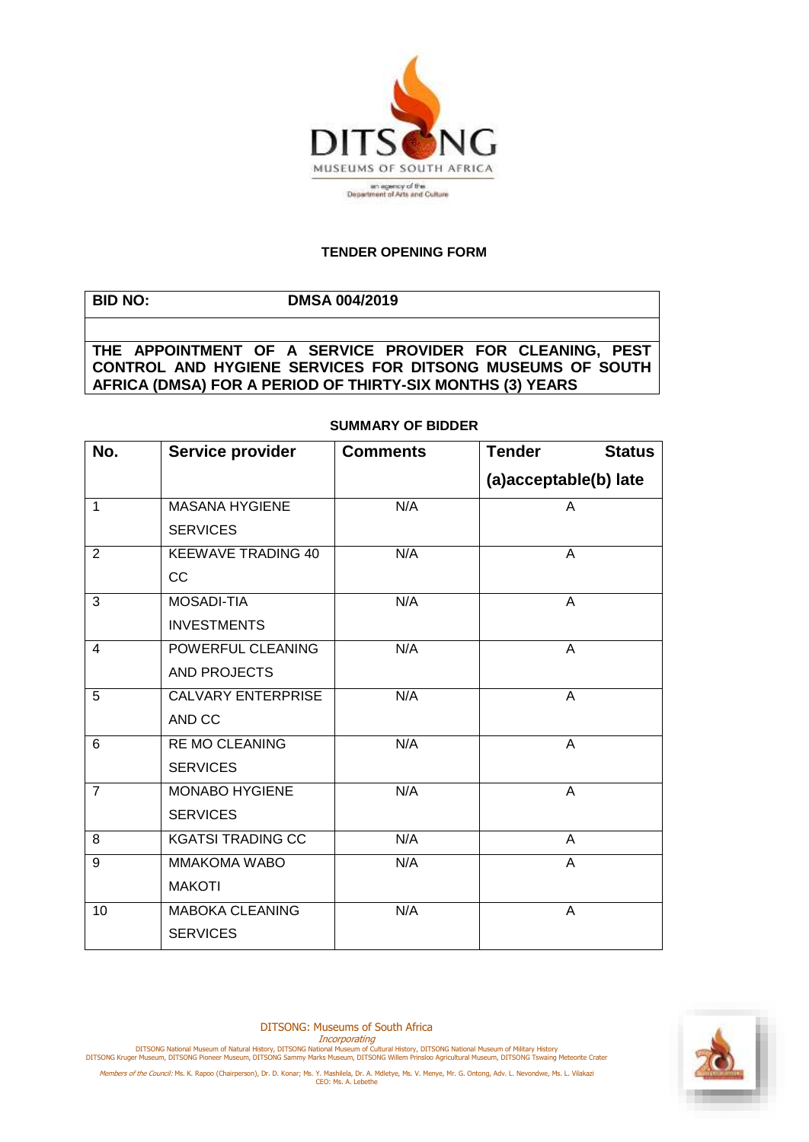

## **TENDER OPENING FORM**

**BID NO: DMSA 004/2019 THE APPOINTMENT OF A SERVICE PROVIDER FOR CLEANING, PEST CONTROL AND HYGIENE SERVICES FOR DITSONG MUSEUMS OF SOUTH AFRICA (DMSA) FOR A PERIOD OF THIRTY-SIX MONTHS (3) YEARS**

## **SUMMARY OF BIDDER**

| No.            | Service provider          | <b>Comments</b> | <b>Tender</b><br><b>Status</b> |
|----------------|---------------------------|-----------------|--------------------------------|
|                |                           |                 | (a)acceptable(b) late          |
| 1              | <b>MASANA HYGIENE</b>     | N/A             | A                              |
|                | <b>SERVICES</b>           |                 |                                |
| 2              | <b>KEEWAVE TRADING 40</b> | N/A             | A                              |
|                | CC                        |                 |                                |
| 3              | <b>MOSADI-TIA</b>         | N/A             | A                              |
|                | <b>INVESTMENTS</b>        |                 |                                |
| $\overline{4}$ | POWERFUL CLEANING         | N/A             | A                              |
|                | AND PROJECTS              |                 |                                |
| 5              | <b>CALVARY ENTERPRISE</b> | N/A             | $\overline{A}$                 |
|                | AND CC                    |                 |                                |
| 6              | <b>RE MO CLEANING</b>     | N/A             | $\overline{A}$                 |
|                | <b>SERVICES</b>           |                 |                                |
| $\overline{7}$ | <b>MONABO HYGIENE</b>     | N/A             | A                              |
|                | <b>SERVICES</b>           |                 |                                |
| 8              | <b>KGATSI TRADING CC</b>  | N/A             | A                              |
| 9              | <b>MMAKOMA WABO</b>       | N/A             | A                              |
|                | <b>MAKOTI</b>             |                 |                                |
| 10             | <b>MABOKA CLEANING</b>    | N/A             | A                              |
|                | <b>SERVICES</b>           |                 |                                |

DITSONG: Museums of South Africa

Incorporating<br>DITSONG National Museum of Natural History, DITSONG National Museum of Military History<br>DITSONG Kruger Museum, DITSONG Pioneer Museum, DITSONG Sammy Marks Museum, DITSONG Willem Prinsloo Agricultural Museum,

Members of the Council: Ms. K. Rapoo (Chairperson), Dr. D. Konar; Ms. Y. Mashilela, Dr. A. Mdletye, Ms. V. Menye, Mr. G. Ontong, Adv. L. Nevondwe, Ms. L. Vilakazi<br>CEO: Ms. A. Lebethe